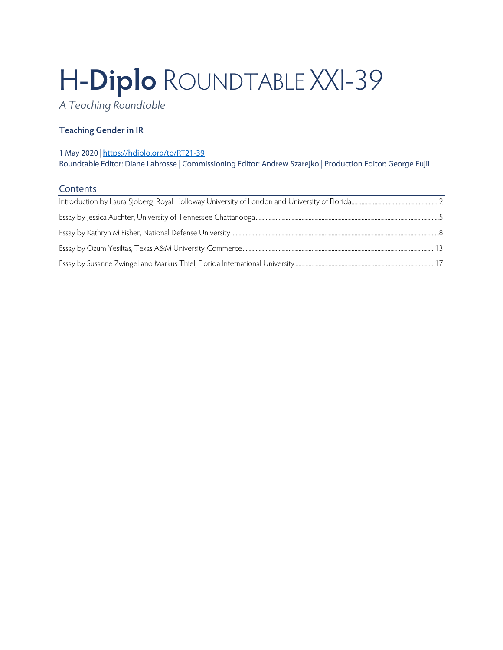# H-**Diplo** ROUNDTABLE XXI-39

*A Teaching Roundtable*

# **Teaching Gender in IR**

#### 1 May 2020 *|* <https://hdiplo.org/to/RT21-39> Roundtable Editor: Diane Labrosse | Commissioning Editor: Andrew Szarejko | Production Editor: George Fujii

### **Contents**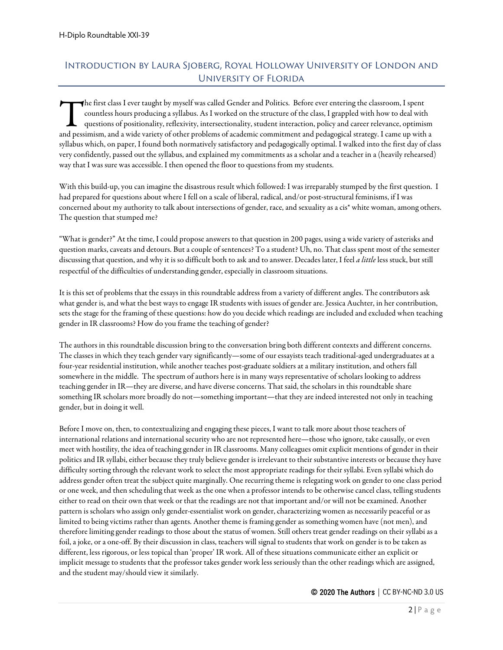# <span id="page-1-0"></span>Introduction by Laura Sjoberg, Royal Holloway University of London and University of Florida

he first class I ever taught by myself was called Gender and Politics. Before ever entering the classroom, I spent countless hours producing a syllabus. As I worked on the structure of the class, I grappled with how to deal with questions of positionality, reflexivity, intersectionality, student interaction, policy and career relevance, optimism The first class I ever taught by myself was called Gender and Politics. Before ever entering the classroom, I spent<br>countless hours producing a syllabus. As I worked on the structure of the class, I grappled with how to de syllabus which, on paper, I found both normatively satisfactory and pedagogically optimal. I walked into the first day of class very confidently, passed out the syllabus, and explained my commitments as a scholar and a teacher in a (heavily rehearsed) way that I was sure was accessible. I then opened the floor to questions from my students.

With this build-up, you can imagine the disastrous result which followed: I was irreparably stumped by the first question. I had prepared for questions about where I fell on a scale of liberal, radical, and/or post-structural feminisms, if I was concerned about my authority to talk about intersections of gender, race, and sexuality as a cis\* white woman, among others. The question that stumped me?

"What is gender?" At the time, I could propose answers to that question in 200 pages, using a wide variety of asterisks and question marks, caveats and detours. But a couple of sentences? To a student? Uh, no. That class spent most of the semester discussing that question, and why it is so difficult both to ask and to answer. Decades later, I feel *a little* less stuck, but still respectful of the difficulties of understanding gender, especially in classroom situations.

It is this set of problems that the essays in this roundtable address from a variety of different angles. The contributors ask what gender is, and what the best ways to engage IR students with issues of gender are. Jessica Auchter, in her contribution, sets the stage for the framing of these questions: how do you decide which readings are included and excluded when teaching gender in IR classrooms? How do you frame the teaching of gender?

The authors in this roundtable discussion bring to the conversation bring both different contexts and different concerns. The classes in which they teach gender vary significantly—some of our essayists teach traditional-aged undergraduates at a four-year residential institution, while another teaches post-graduate soldiers at a military institution, and others fall somewhere in the middle. The spectrum of authors here is in many ways representative of scholars looking to address teaching gender in IR—they are diverse, and have diverse concerns. That said, the scholars in this roundtable share something IR scholars more broadly do not—something important—that they are indeed interested not only in teaching gender, but in doing it well.

Before I move on, then, to contextualizing and engaging these pieces, I want to talk more about those teachers of international relations and international security who are not represented here—those who ignore, take causally, or even meet with hostility, the idea of teaching gender in IR classrooms. Many colleagues omit explicit mentions of gender in their politics and IR syllabi, either because they truly believe gender is irrelevant to their substantive interests or because they have difficulty sorting through the relevant work to select the most appropriate readings for their syllabi. Even syllabi which do address gender often treat the subject quite marginally. One recurring theme is relegating work on gender to one class period or one week, and then scheduling that week as the one when a professor intends to be otherwise cancel class, telling students either to read on their own that week or that the readings are not that important and/or will not be examined. Another pattern is scholars who assign only gender-essentialist work on gender, characterizing women as necessarily peaceful or as limited to being victims rather than agents. Another theme is framing gender as something women have (not men), and therefore limiting gender readings to those about the status of women. Still others treat gender readings on their syllabi as a foil, a joke, or a one-off. By their discussion in class, teachers will signal to students that work on gender is to be taken as different, less rigorous, or less topical than 'proper' IR work. All of these situations communicate either an explicit or implicit message to students that the professor takes gender work less seriously than the other readings which are assigned, and the student may/should view it similarly.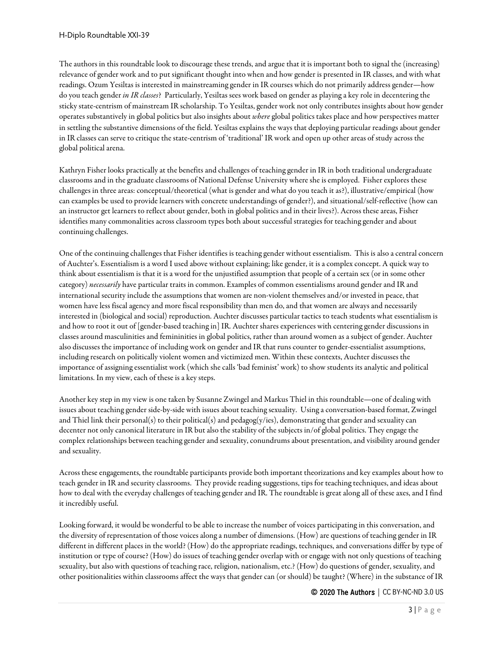The authors in this roundtable look to discourage these trends, and argue that it is important both to signal the (increasing) relevance of gender work and to put significant thought into when and how gender is presented in IR classes, and with what readings. Ozum Yesiltas is interested in mainstreaming gender in IR courses which do not primarily address gender—how do you teach gender *in IR classes*? Particularly, Yesiltas sees work based on gender as playing a key role in decentering the sticky state-centrism of mainstream IR scholarship. To Yesiltas, gender work not only contributes insights about how gender operates substantively in global politics but also insights about *where* global politics takes place and how perspectives matter in settling the substantive dimensions of the field. Yesiltas explains the ways that deploying particular readings about gender in IR classes can serve to critique the state-centrism of 'traditional' IR work and open up other areas of study across the global political arena.

Kathryn Fisher looks practically at the benefits and challenges of teaching gender in IR in both traditional undergraduate classrooms and in the graduate classrooms of National Defense University where she is employed. Fisher explores these challenges in three areas: conceptual/theoretical (what is gender and what do you teach it as?), illustrative/empirical (how can examples be used to provide learners with concrete understandings of gender?), and situational/self-reflective (how can an instructor get learners to reflect about gender, both in global politics and in their lives?). Across these areas, Fisher identifies many commonalities across classroom types both about successful strategies for teaching gender and about continuing challenges.

One of the continuing challenges that Fisher identifies is teaching gender without essentialism. This is also a central concern of Auchter's. Essentialism is a word I used above without explaining; like gender, it is a complex concept. A quick way to think about essentialism is that it is a word for the unjustified assumption that people of a certain sex (or in some other category) *necessarily* have particular traits in common. Examples of common essentialisms around gender and IR and international security include the assumptions that women are non-violent themselves and/or invested in peace, that women have less fiscal agency and more fiscal responsibility than men do, and that women are always and necessarily interested in (biological and social) reproduction. Auchter discusses particular tactics to teach students what essentialism is and how to root it out of [gender-based teaching in] IR. Auchter shares experiences with centering gender discussions in classes around masculinities and femininities in global politics, rather than around women as a subject of gender. Auchter also discusses the importance of including work on gender and IR that runs counter to gender-essentialist assumptions, including research on politically violent women and victimized men. Within these contexts, Auchter discusses the importance of assigning essentialist work (which she calls 'bad feminist' work) to show students its analytic and political limitations. In my view, each of these is a key steps.

Another key step in my view is one taken by Susanne Zwingel and Markus Thiel in this roundtable—one of dealing with issues about teaching gender side-by-side with issues about teaching sexuality. Using a conversation-based format, Zwingel and Thiel link their personal(s) to their political(s) and pedagog(y/ies), demonstrating that gender and sexuality can decenter not only canonical literature in IR but also the stability of the subjects in/of global politics. They engage the complex relationships between teaching gender and sexuality, conundrums about presentation, and visibility around gender and sexuality.

Across these engagements, the roundtable participants provide both important theorizations and key examples about how to teach gender in IR and security classrooms. They provide reading suggestions, tips for teaching techniques, and ideas about how to deal with the everyday challenges of teaching gender and IR. The roundtable is great along all of these axes, and I find it incredibly useful.

Looking forward, it would be wonderful to be able to increase the number of voices participating in this conversation, and the diversity of representation of those voices along a number of dimensions. (How) are questions of teaching gender in IR different in different places in the world? (How) do the appropriate readings, techniques, and conversations differ by type of institution or type of course? (How) do issues of teaching gender overlap with or engage with not only questions of teaching sexuality, but also with questions of teaching race, religion, nationalism, etc.? (How) do questions of gender, sexuality, and other positionalities within classrooms affect the ways that gender can (or should) be taught? (Where) in the substance of IR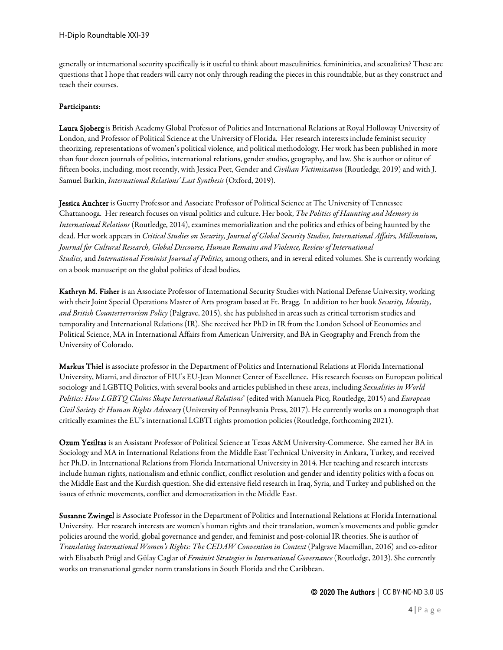generally or international security specifically is it useful to think about masculinities, femininities, and sexualities? These are questions that I hope that readers will carry not only through reading the pieces in this roundtable, but as they construct and teach their courses.

#### Participants:

Laura Sjoberg is British Academy Global Professor of Politics and International Relations at Royal Holloway University of London, and Professor of Political Science at the University of Florida. Her research interests include feminist security theorizing, representations of women's political violence, and political methodology. Her work has been published in more than four dozen journals of politics, international relations, gender studies, geography, and law. She is author or editor of fifteen books, including, most recently, with Jessica Peet, Gender and *Civilian Victimization* (Routledge, 2019) and with J. Samuel Barkin, *International Relations' Last Synthesis* (Oxford, 2019).

Jessica Auchter is Guerry Professor and Associate Professor of Political Science at The University of Tennessee Chattanooga. Her research focuses on visual politics and culture. Her book, *The Politics of Haunting and Memory in International Relations* (Routledge, 2014), examines memorialization and the politics and ethics of being haunted by the dead. Her work appears in *Critical Studies on Security, Journal of Global Security Studies, International Affairs, Millennium, Journal for Cultural Research, Global Discourse, Human Remains and Violence, Review of International Studies,* and *International Feminist Journal of Politics,* among others, and in several edited volumes. She is currently working on a book manuscript on the global politics of dead bodies.

Kathryn M. Fisher is an Associate Professor of International Security Studies with National Defense University, working with their Joint Special Operations Master of Arts program based at Ft. Bragg. In addition to her book *Security, Identity, and British Counterterrorism Policy* (Palgrave, 2015), she has published in areas such as critical terrorism studies and temporality and International Relations (IR). She received her PhD in IR from the London School of Economics and Political Science, MA in International Affairs from American University, and BA in Geography and French from the University of Colorado.

Markus Thiel is associate professor in the Department of Politics and International Relations at Florida International University, Miami, and director of FIU's EU-Jean Monnet Center of Excellence. His research focuses on European political sociology and LGBTIQ Politics, with several books and articles published in these areas, including *Sexualities in World Politics: How LGBTQ Claims Shape International Relations*' (edited with Manuela Picq, Routledge, 2015) and *European Civil Society & Human Rights Advocacy* (University of Pennsylvania Press, 2017). He currently works on a monograph that critically examines the EU's international LGBTI rights promotion policies (Routledge, forthcoming 2021).

Ozum Yesiltas is an Assistant Professor of Political Science at Texas A&M University-Commerce. She earned her BA in Sociology and MA in International Relations from the Middle East Technical University in Ankara, Turkey, and received her Ph.D. in International Relations from Florida International University in 2014. Her teaching and research interests include human rights, nationalism and ethnic conflict, conflict resolution and gender and identity politics with a focus on the Middle East and the Kurdish question. She did extensive field research in Iraq, Syria, and Turkey and published on the issues of ethnic movements, conflict and democratization in the Middle East.

Susanne Zwingel is Associate Professor in the Department of Politics and International Relations at Florida International University. Her research interests are women's human rights and their translation, women's movements and public gender policies around the world, global governance and gender, and feminist and post-colonial IR theories. She is author of *Translating International Women's Rights: The CEDAW Convention in Context* (Palgrave Macmillan, 2016) and co-editor with Elisabeth Prügl and Gülay Caglar of *Feminist Strategies in International Governance* (Routledge, 2013). She currently works on transnational gender norm translations in South Florida and the Caribbean.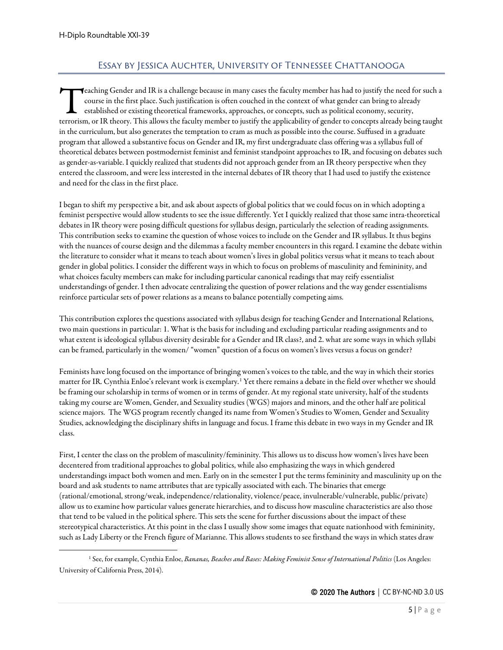# Essay by Jessica Auchter, University of Tennessee Chattanooga

<span id="page-4-0"></span> $\blacktriangledown$ eaching Gender and IR is a challenge because in many cases the faculty member has had to justify the need for such a course in the first place. Such justification is often couched in the context of what gender can bring to already established or existing theoretical frameworks, approaches, or concepts, such as political economy, security, **theory.** This a challenge because in many cases the faculty member has had to justify the need for such a course in the first place. Such justification is often couched in the context of what gender can bring to already e in the curriculum, but also generates the temptation to cram as much as possible into the course. Suffused in a graduate program that allowed a substantive focus on Gender and IR, my first undergraduate class offering was a syllabus full of theoretical debates between postmodernist feminist and feminist standpoint approaches to IR, and focusing on debates such as gender-as-variable. I quickly realized that students did not approach gender from an IR theory perspective when they entered the classroom, and were less interested in the internal debates of IR theory that I had used to justify the existence and need for the class in the first place.

I began to shift my perspective a bit, and ask about aspects of global politics that we could focus on in which adopting a feminist perspective would allow students to see the issue differently. Yet I quickly realized that those same intra-theoretical debates in IR theory were posing difficult questions for syllabus design, particularly the selection of reading assignments. This contribution seeks to examine the question of whose voices to include on the Gender and IR syllabus. It thus begins with the nuances of course design and the dilemmas a faculty member encounters in this regard. I examine the debate within the literature to consider what it means to teach about women's lives in global politics versus what it means to teach about gender in global politics. I consider the different ways in which to focus on problems of masculinity and femininity, and what choices faculty members can make for including particular canonical readings that may reify essentialist understandings of gender. I then advocate centralizing the question of power relations and the way gender essentialisms reinforce particular sets of power relations as a means to balance potentially competing aims.

This contribution explores the questions associated with syllabus design for teaching Gender and International Relations, two main questions in particular: 1. What is the basis for including and excluding particular reading assignments and to what extent is ideological syllabus diversity desirable for a Gender and IR class?, and 2. what are some ways in which syllabi can be framed, particularly in the women/ "women" question of a focus on women's lives versus a focus on gender?

Feminists have long focused on the importance of bringing women's voices to the table, and the way in which their stories matter for IR. Cynthia Enloe's relevant work is exemplary.[1](#page-4-1) Yet there remains a debate in the field over whether we should be framing our scholarship in terms of women or in terms of gender. At my regional state university, half of the students taking my course are Women, Gender, and Sexuality studies (WGS) majorsand minors, and the other half are political science majors. The WGS program recently changed its name from Women's Studies to Women, Gender and Sexuality Studies, acknowledging the disciplinary shifts in language and focus. I frame this debate in two ways in my Gender and IR class.

First, I center the class on the problem of masculinity/femininity. This allows us to discuss how women's lives have been decentered from traditional approaches to global politics, while also emphasizing the ways in which gendered understandings impact both women and men. Early on in the semester I put the terms femininity and masculinity up on the board and ask students to name attributes that are typically associated with each. The binaries that emerge (rational/emotional, strong/weak, independence/relationality, violence/peace, invulnerable/vulnerable, public/private) allow us to examine how particular values generate hierarchies, and to discuss how masculine characteristics are also those that tend to be valued in the political sphere. This sets the scene for further discussions about the impact of these stereotypical characteristics. At this point in the class I usually show some images that equate nationhood with femininity, such as Lady Liberty or the French figure of Marianne. This allows students to see firsthand the ways in which states draw

<span id="page-4-1"></span><sup>1</sup> See, for example, Cynthia Enloe, *Bananas, Beaches and Bases: Making Feminist Sense of International Politics* (Los Angeles: University of California Press, 2014).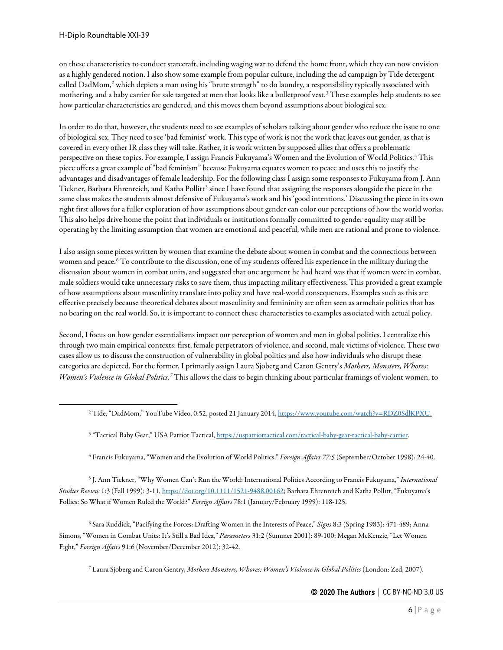on these characteristics to conduct statecraft, including waging war to defend the home front, which they can now envision as a highly gendered notion. I also show some example from popular culture, including the ad campaign by Tide detergent called DadMom,<sup>[2](#page-5-0)</sup> which depicts a man using his "brute strength" to do laundry, a responsibility typically associated with mothering, and a baby carrier for sale targeted at men that looks like a bulletproof vest.<sup>[3](#page-5-1)</sup> These examples help students to see how particular characteristics are gendered, and this moves them beyond assumptions about biological sex.

In order to do that, however, the students need to see examples of scholars talking about gender who reduce the issue to one of biological sex. They need to see 'bad feminist' work. This type of work is not the work that leaves out gender, as that is covered in every other IR class they will take. Rather, it is work written by supposed allies that offers a problematic perspective on these topics. For example, I assign Francis Fukuyama's Women and the Evolution of World Politics.[4](#page-5-2) This piece offers a great example of "bad feminism" because Fukuyama equates women to peace and uses this to justify the advantages and disadvantages of female leadership. For the following class I assign some responses to Fukuyama from J. Ann Tickner, Barbara Ehrenreich, and Katha Pollitt<sup>[5](#page-5-3)</sup> since I have found that assigning the responses alongside the piece in the same class makes the students almost defensive of Fukuyama's work and his 'good intentions.' Discussing the piece in its own right first allows for a fuller exploration of how assumptions about gender can color our perceptions of how the world works. This also helps drive home the point that individuals or institutions formally committed to gender equality may still be operating by the limiting assumption that women are emotional and peaceful, while men are rational and prone to violence.

I also assign some pieces written by women that examine the debate about women in combat and the connections between women and peace.<sup>[6](#page-5-4)</sup> To contribute to the discussion, one of my students offered his experience in the military during the discussion about women in combat units, and suggested that one argument he had heard was that if women were in combat, male soldiers would take unnecessary risks to save them, thus impacting military effectiveness. This provided a great example of how assumptions about masculinity translate into policy and have real-world consequences. Examples such as this are effective precisely because theoretical debates about masculinity and femininity are often seen as armchair politics that has no bearing on the real world. So, it is important to connect these characteristics to examples associated with actual policy.

Second, I focus on how gender essentialisms impact our perception of women and men in global politics. I centralize this through two main empirical contexts: first, female perpetrators of violence, and second, male victims of violence. These two cases allow us to discuss the construction of vulnerability in global politics and also how individuals who disrupt these categories are depicted. For the former, I primarily assign Laura Sjoberg and Caron Gentry's *Mothers, Monsters, Whores: Women's Violence in Global Politics.[7](#page-5-5)* This allows the class to begin thinking about particular framings of violent women, to

<sup>4</sup> Francis Fukuyama, "Women and the Evolution of World Politics," *Foreign Affairs 77:5* (September/October 1998): 24-40.

<span id="page-5-3"></span><span id="page-5-2"></span><span id="page-5-1"></span><sup>5</sup> J. Ann Tickner, "Why Women Can't Run the World: International Politics According to Francis Fukuyama," *International Studies Review* 1:3 (Fall 1999): 3-11[, https://doi.org/10.1111/1521-9488.00162;](https://doi.org/10.1111/1521-9488.00162) Barbara Ehrenreich and Katha Pollitt, "Fukuyama's Follies: So What if Women Ruled the World?" *Foreign Affairs* 78:1 (January/February 1999): 118-125.

<span id="page-5-5"></span><span id="page-5-4"></span><sup>6</sup> Sara Ruddick, "Pacifying the Forces: Drafting Women in the Interests of Peace," *Signs* 8:3 (Spring 1983): 471-489; Anna Simons, "Women in Combat Units: It's Still a Bad Idea," *Parameters* 31:2 (Summer 2001): 89-100; Megan McKenzie, "Let Women Fight," *Foreign Affairs* 91:6 (November/December 2012): 32-42.

<sup>7</sup> Laura Sjoberg and Caron Gentry, *Mothers Monsters, Whores: Women's Violence in Global Politics* (London: Zed, 2007).

<span id="page-5-0"></span><sup>&</sup>lt;sup>2</sup> Tide, "DadMom," YouTube Video, 0:52, posted 21 January 2014[, https://www.youtube.com/watch?v=RDZ0SdlKPXU.](https://www.youtube.com/watch?v=RDZ0SdlKPXU)

<sup>&</sup>lt;sup>3</sup> "Tactical Baby Gear," USA Patriot Tactical[, https://uspatriottactical.com/tactical-baby-gear-tactical-baby-carrier.](https://uspatriottactical.com/tactical-baby-gear-tactical-baby-carrier)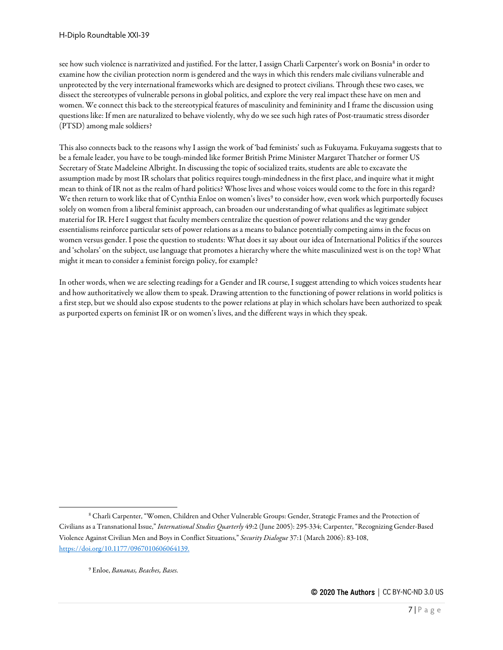see how such violence is narrativized and justified. For the latter, I assign Charli Carpenter's work on Bosnia[8](#page-6-0) in order to examine how the civilian protection norm is gendered and the ways in which this renders male civilians vulnerable and unprotected by the very international frameworks which are designed to protect civilians. Through these two cases, we dissect the stereotypes of vulnerable persons in global politics, and explore the very real impact these have on men and women. We connect this back to the stereotypical features of masculinity and femininity and I frame the discussion using questions like: If men are naturalized to behave violently, why do we see such high rates of Post-traumatic stress disorder (PTSD) among male soldiers?

This also connects back to the reasons why I assign the work of 'bad feminists' such as Fukuyama. Fukuyama suggests that to be a female leader, you have to be tough-minded like former British Prime Minister Margaret Thatcher or former US Secretary of State Madeleine Albright. In discussing the topic of socialized traits, students are able to excavate the assumption made by most IR scholars that politics requires tough-mindedness in the first place, and inquire what it might mean to think of IR not as the realm of hard politics? Whose lives and whose voices would come to the fore in this regard? We then return to work like that of Cynthia Enloe on women's lives<sup>[9](#page-6-1)</sup> to consider how, even work which purportedly focuses solely on women from a liberal feminist approach, can broaden our understanding of what qualifies as legitimate subject material for IR. Here I suggest that faculty members centralize the question of power relations and the way gender essentialisms reinforce particular sets of power relations as a means to balance potentially competing aims in the focus on women versus gender. I pose the question to students: What does it say about our idea of International Politics if the sources and 'scholars' on the subject, use language that promotes a hierarchy where the white masculinized west is on the top? What might it mean to consider a feminist foreign policy, for example?

In other words, when we are selecting readings for a Gender and IR course, I suggest attending to which voices students hear and how authoritatively we allow them to speak. Drawing attention to the functioning of power relations in world politics is a first step, but we should also expose students to the power relations at play in which scholars have been authorized to speak as purported experts on feminist IR or on women's lives, and the different ways in which they speak.

<span id="page-6-1"></span><span id="page-6-0"></span><sup>8</sup> Charli Carpenter, "Women, Children and Other Vulnerable Groups: Gender, Strategic Frames and the Protection of Civilians as a Transnational Issue," *International Studies Quarterly* 49:2 (June 2005): 295-334; Carpenter, "Recognizing Gender-Based Violence Against Civilian Men and Boys in Conflict Situations," *Security Dialogue* 37:1 (March 2006): 83-108, [https://doi.org/10.1177/0967010606064139.](https://doi.org/10.1177%2F0967010606064139)

<sup>9</sup> Enloe, *Bananas, Beaches, Bases.*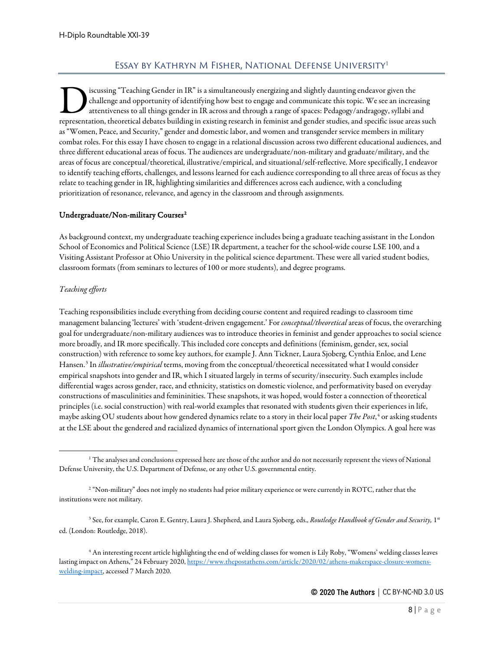# Essay by Kathryn M Fisher, National Defense University[1](#page-7-1)

<span id="page-7-0"></span>iscussing "Teaching Gender in IR" is a simultaneously energizing and slightly daunting endeavor given the challenge and opportunity of identifying how best to engage and communicate this topic. We see an increasing attentiveness to all things gender in IR across and through a range of spaces: Pedagogy/andragogy, syllabi and Iscussing "Teaching Gender in IR" is a simultaneously energizing and slightly daunting endeavor given the challenge and opportunity of identifying how best to engage and communicate this topic. We see an increasing attenti as "Women, Peace, and Security," gender and domestic labor, and women and transgender service members in military combat roles. For this essay I have chosen to engage in a relational discussion across two different educational audiences, and three different educational areas of focus. The audiences are undergraduate/non-military and graduate/military, and the areas of focus are conceptual/theoretical, illustrative/empirical, and situational/self-reflective. More specifically, I endeavor to identify teaching efforts, challenges, and lessons learned for each audience corresponding to all three areas of focus as they relate to teaching gender in IR, highlighting similarities and differences across each audience, with a concluding prioritization of resonance, relevance, and agency in the classroom and through assignments.

#### Undergraduate/Non-military Courses<sup>[2](#page-7-2)</sup>

As background context, my undergraduate teaching experience includes being a graduate teaching assistant in the London School of Economics and Political Science (LSE) IR department, a teacher for the school-wide course LSE 100, and a Visiting Assistant Professor at Ohio University in the political science department. These were all varied student bodies, classroom formats (from seminars to lectures of 100 or more students), and degree programs.

#### *Teaching efforts*

Teaching responsibilities include everything from deciding course content and required readings to classroom time management balancing 'lectures' with 'student-driven engagement.' For *conceptual/theoretical*areas of focus, the overarching goal for undergraduate/non-military audiences was to introduce theories in feminist and gender approaches to social science more broadly, and IR more specifically. This included core concepts and definitions (feminism, gender, sex, social construction) with reference to some key authors, for example J. Ann Tickner, Laura Sjoberg, Cynthia Enloe, and Lene Hansen.[3](#page-7-3) In *illustrative/empirical* terms, moving from the conceptual/theoretical necessitated what I would consider empirical snapshots into gender and IR, which I situated largely in terms of security/insecurity. Such examples include differential wages across gender, race, and ethnicity, statistics on domestic violence, and performativity based on everyday constructions of masculinities and femininities. These snapshots, it was hoped, would foster a connection of theoretical principles (i.e. social construction) with real-world examples that resonated with students given their experiences in life, maybe asking OU students about how gendered dynamics relate to a story in their local paper *The Post*, [4](#page-7-4) or asking students at the LSE about the gendered and racialized dynamics of international sport given the London Olympics. A goal here was

<span id="page-7-1"></span> $^1$  The analyses and conclusions expressed here are those of the author and do not necessarily represent the views of National Defense University, the U.S. Department of Defense, or any other U.S. governmental entity.

<span id="page-7-2"></span><sup>&</sup>lt;sup>2</sup> "Non-military" does not imply no students had prior military experience or were currently in ROTC, rather that the institutions were not military.

<span id="page-7-3"></span><sup>&</sup>lt;sup>3</sup> See, for example, Caron E. Gentry, Laura J. Shepherd, and Laura Sjoberg, eds., *Routledge Handbook of Gender and Security*, 1<sup>st</sup> ed. (London: Routledge, 2018).

<span id="page-7-4"></span><sup>4</sup> An interesting recent article highlighting the end of welding classes for women is Lily Roby, "Womens' welding classes leaves lasting impact on Athens," 24 February 2020[, https://www.thepostathens.com/article/2020/02/athens-makerspace-closure-womens](https://www.thepostathens.com/article/2020/02/athens-makerspace-closure-womens-welding-impact)[welding-impact,](https://www.thepostathens.com/article/2020/02/athens-makerspace-closure-womens-welding-impact) accessed 7 March 2020.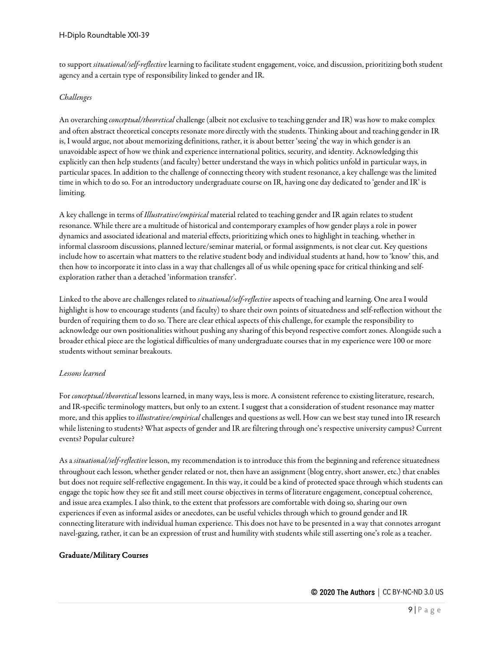to support *situational/self-reflective* learning to facilitate student engagement, voice, and discussion, prioritizing both student agency and a certain type of responsibility linked to gender and IR.

#### *Challenges*

An overarching *conceptual/theoretical* challenge (albeit not exclusive to teaching gender and IR) was how to make complex and often abstract theoretical concepts resonate more directly with the students. Thinking about and teaching gender in IR is, I would argue, not about memorizing definitions, rather, it is about better 'seeing' the way in which gender is an unavoidable aspect of how we think and experience international politics, security, and identity. Acknowledging this explicitly can then help students (and faculty) better understand the ways in which politics unfold in particular ways, in particular spaces. In addition to the challenge of connecting theory with student resonance, a key challenge was the limited time in which to do so. For an introductory undergraduate course on IR, having one day dedicated to 'gender and IR' is limiting.

A key challenge in terms of *Illustrative/empirical* material related to teaching gender and IR again relates to student resonance. While there are a multitude of historical and contemporary examples of how gender plays a role in power dynamics and associated ideational and material effects, prioritizing which ones to highlight in teaching, whether in informal classroom discussions, planned lecture/seminar material, or formal assignments, is not clear cut. Key questions include how to ascertain what matters to the relative student body and individual students at hand, how to 'know' this, and then how to incorporate it into class in a way that challenges all of us while opening space for critical thinking and selfexploration rather than a detached 'information transfer'.

Linked to the above are challenges related to *situational/self-reflective* aspects of teaching and learning. One area I would highlight is how to encourage students (and faculty) to share their own points of situatedness and self-reflection without the burden of requiring them to do so. There are clear ethical aspects of this challenge, for example the responsibility to acknowledge our own positionalities without pushing any sharing of this beyond respective comfort zones. Alongside such a broader ethical piece are the logistical difficulties of many undergraduate courses that in my experience were 100 or more students without seminar breakouts.

#### *Lessons learned*

For *conceptual/theoretical* lessons learned, in many ways, less is more. A consistent reference to existing literature, research, and IR-specific terminology matters, but only to an extent. I suggest that a consideration of student resonance may matter more, and this applies to *illustrative/empirical* challenges and questions as well. How can we best stay tuned into IR research while listening to students? What aspects of gender and IR are filtering through one's respective university campus? Current events? Popular culture?

As a *situational/self-reflective* lesson, my recommendation is to introduce this from the beginning and reference situatedness throughout each lesson, whether gender related or not, then have an assignment (blog entry, short answer, etc.) that enables but does not require self-reflective engagement. In this way, it could be a kind of protected space through which students can engage the topic how they see fit and still meet course objectives in terms of literature engagement, conceptual coherence, and issue area examples. I also think, to the extent that professors are comfortable with doing so, sharing our own experiences if even as informal asides or anecdotes, can be useful vehicles through which to ground gender and IR connecting literature with individual human experience. This does not have to be presented in a way that connotes arrogant navel-gazing, rather, it can be an expression of trust and humility with students while still asserting one's role as a teacher.

#### Graduate/Military Courses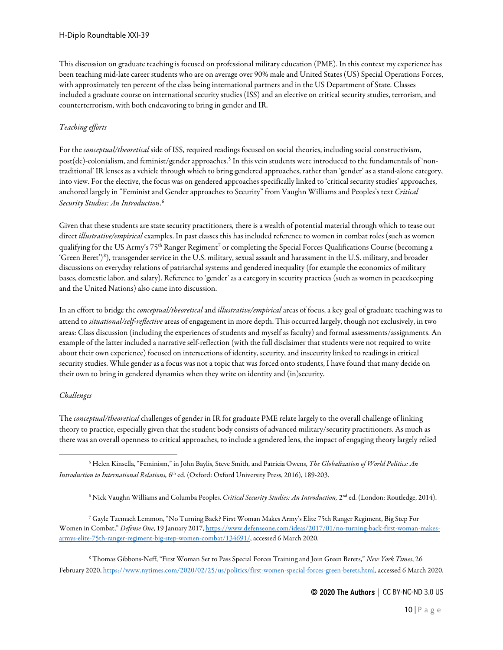This discussion on graduate teaching is focused on professional military education (PME). In this context my experience has been teaching mid-late career students who are on average over 90% male and United States (US) Special Operations Forces, with approximately ten percent of the class being international partners and in the US Department of State. Classes included a graduate course on international security studies (ISS) and an elective on critical security studies, terrorism, and counterterrorism, with both endeavoring to bring in gender and IR.

#### *Teaching efforts*

For the *conceptual/theoretical* side of ISS, required readings focused on social theories, including social constructivism, post(de)-colonialism, and feminist/gender approaches.[5](#page-9-0) In this vein students were introduced to the fundamentals of 'nontraditional' IR lenses as a vehicle through which to bring gendered approaches, rather than 'gender' as a stand-alone category, into view. For the elective, the focus was on gendered approaches specifically linked to 'critical security studies' approaches, anchored largely in "Feminist and Gender approaches to Security" from Vaughn Williams and Peoples's text *Critical Security Studies: An Introduction*. [6](#page-9-1)

Given that these students are state security practitioners, there is a wealth of potential material through which to tease out direct *illustrative/empirical* examples. In past classes this has included reference to women in combat roles (such as women qualifying for the US Army's [7](#page-9-2)5<sup>th</sup> Ranger Regiment<sup>7</sup> or completing the Special Forces Qualifications Course (becoming a 'Green Beret')<sup>[8](#page-9-3)</sup>), transgender service in the U.S. military, sexual assault and harassment in the U.S. military, and broader discussions on everyday relations of patriarchal systems and gendered inequality (for example the economics of military bases, domestic labor, and salary). Reference to 'gender' as a category in security practices (such as women in peacekeeping and the United Nations) also came into discussion.

In an effort to bridge the *conceptual/theoretical*and *illustrative/empirical*areas of focus, a key goal of graduate teaching was to attend to *situational/self-reflective* areas of engagement in more depth. This occurred largely, though not exclusively, in two areas: Class discussion (including the experiences of students and myself as faculty) and formal assessments/assignments. An example of the latter included a narrative self-reflection (with the full disclaimer that students were not required to write about their own experience) focused on intersections of identity, security, and insecurity linked to readings in critical security studies. While gender as a focus was not a topic that was forced onto students, I have found that many decide on their own to bring in gendered dynamics when they write on identity and (in)security.

#### *Challenges*

The *conceptual/theoretical* challenges of gender in IR for graduate PME relate largely to the overall challenge of linking theory to practice, especially given that the student body consists of advanced military/security practitioners. As much as there was an overall openness to critical approaches, to include a gendered lens, the impact of engaging theory largely relied

<span id="page-9-0"></span><sup>5</sup> Helen Kinsella, "Feminism," in John Baylis, Steve Smith, and Patricia Owens, *The Globalization of World Politics: An Introduction to International Relations,* 6<sup>th</sup> ed. (Oxford: Oxford University Press, 2016), 189-203.

<sup>6</sup> Nick Vaughn Williams and Columba Peoples. *Critical Security Studies: An Introduction,* 2nd ed. (London: Routledge, 2014).

<span id="page-9-2"></span><span id="page-9-1"></span><sup>7</sup> Gayle Tzemach Lemmon, "No Turning Back? First Woman Makes Army's Elite 75th Ranger Regiment, Big Step For Women in Combat," *Defense One*, 19 January 2017[, https://www.defenseone.com/ideas/2017/01/no-turning-back-first-woman-makes](https://www.defenseone.com/ideas/2017/01/no-turning-back-first-woman-makes-armys-elite-75th-ranger-regiment-big-step-women-combat/134691/)[armys-elite-75th-ranger-regiment-big-step-women-combat/134691/,](https://www.defenseone.com/ideas/2017/01/no-turning-back-first-woman-makes-armys-elite-75th-ranger-regiment-big-step-women-combat/134691/) accessed 6 March 2020.

<span id="page-9-3"></span><sup>8</sup> Thomas Gibbons-Neff, "First Woman Set to Pass Special Forces Training and Join Green Berets," *New York Times*, 26 February 2020[, https://www.nytimes.com/2020/02/25/us/politics/first-women-special-forces-green-berets.html,](https://www.nytimes.com/2020/02/25/us/politics/first-women-special-forces-green-berets.html) accessed 6 March 2020.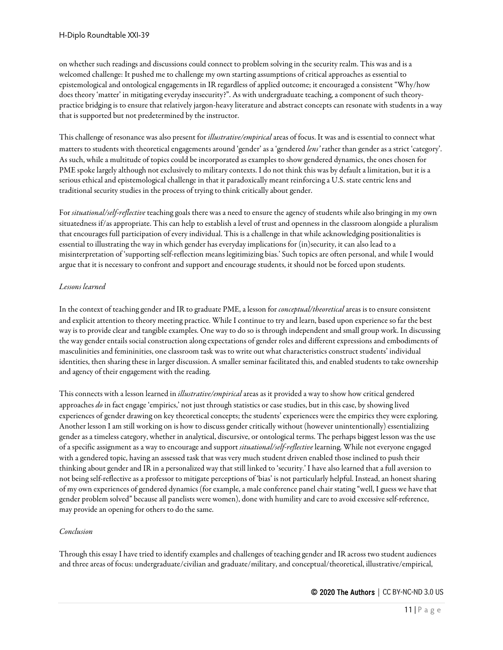on whether such readings and discussions could connect to problem solving in the security realm. This was and is a welcomed challenge: It pushed me to challenge my own starting assumptions of critical approaches as essential to epistemological and ontological engagements in IR regardless of applied outcome; it encouraged a consistent "Why/how does theory 'matter' in mitigating everyday insecurity?". As with undergraduate teaching, a component of such theorypractice bridging is to ensure that relatively jargon-heavy literature and abstract concepts can resonate with students in a way that is supported but not predetermined by the instructor.

This challenge of resonance was also present for *illustrative/empirical*areas of focus. It was and is essential to connect what matters to students with theoretical engagements around 'gender' as a 'gendered *lens'* rather than gender as a strict 'category'. As such, while a multitude of topics could be incorporated as examples to show gendered dynamics, the ones chosen for PME spoke largely although not exclusively to military contexts. I do not think this was by default a limitation, but it is a serious ethical and epistemological challenge in that it paradoxically meant reinforcing a U.S. state centric lens and traditional security studies in the process of trying to think critically about gender.

For *situational/self-reflective* teaching goals there was a need to ensure the agency of students while also bringing in my own situatedness if/as appropriate. This can help to establish a level of trust and openness in the classroom alongside a pluralism that encourages full participation of every individual. This is a challenge in that while acknowledging positionalities is essential to illustrating the way in which gender has everyday implications for (in)security, it can also lead to a misinterpretation of 'supporting self-reflection means legitimizing bias.' Such topics are often personal, and while I would argue that it is necessary to confront and support and encourage students, it should not be forced upon students.

#### *Lessons learned*

In the context of teaching gender and IR to graduate PME, a lesson for *conceptual/theoretical*areas is to ensure consistent and explicit attention to theory meeting practice. While I continue to try and learn, based upon experience so far the best way is to provide clear and tangible examples. One way to do so is through independent and small group work. In discussing the way gender entails social construction along expectations of gender roles and different expressions and embodiments of masculinities and femininities, one classroom task was to write out what characteristics construct students' individual identities, then sharing these in larger discussion. A smaller seminar facilitated this, and enabled students to take ownership and agency of their engagement with the reading.

This connects with a lesson learned in *illustrative/empirical*areas as it provided a way to show how critical gendered approaches *do* in fact engage 'empirics,' not just through statistics or case studies, but in this case, by showing lived experiences of gender drawing on key theoretical concepts; the students' experiences were the empirics they were exploring. Another lesson I am still working on is how to discuss gender critically without (however unintentionally) essentializing gender as a timeless category, whether in analytical, discursive, or ontological terms. The perhaps biggest lesson was the use of a specific assignment as a way to encourage and support *situational/self-reflective* learning. While not everyone engaged with a gendered topic, having an assessed task that was very much student driven enabled those inclined to push their thinking about gender and IR in a personalized way that still linked to 'security.' I have also learned that a full aversion to not being self-reflective as a professor to mitigate perceptions of 'bias' is not particularly helpful. Instead, an honest sharing of my own experiences of gendered dynamics (for example, a male conference panel chair stating "well, I guess we have that gender problem solved" because all panelists were women), done with humility and care to avoid excessive self-reference, may provide an opening for others to do the same.

#### *Conclusion*

Through this essay I have tried to identify examples and challenges of teaching gender and IR across two student audiences and three areas of focus: undergraduate/civilian and graduate/military, and conceptual/theoretical, illustrative/empirical,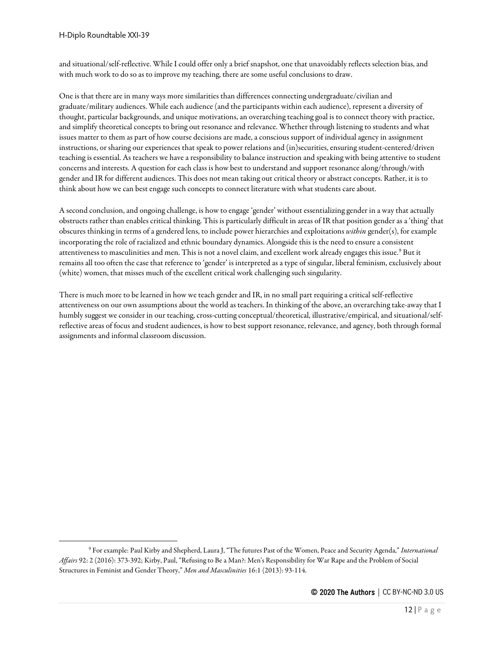and situational/self-reflective. While I could offer only a brief snapshot, one that unavoidably reflects selection bias, and with much work to do so as to improve my teaching, there are some useful conclusions to draw.

One is that there are in many ways more similarities than differences connecting undergraduate/civilian and graduate/military audiences. While each audience (and the participants within each audience), represent a diversity of thought, particular backgrounds, and unique motivations, an overarching teaching goal is to connect theory with practice, and simplify theoretical concepts to bring out resonance and relevance. Whether through listening to students and what issues matter to them as part of how course decisions are made, a conscious support of individual agency in assignment instructions, or sharing our experiences that speak to power relations and (in)securities, ensuring student-centered/driven teaching is essential. As teachers we have a responsibility to balance instruction and speaking with being attentive to student concerns and interests. A question for each class is how best to understand and support resonance along/through/with gender and IR for different audiences. This does not mean taking out critical theory or abstract concepts. Rather, it is to think about how we can best engage such concepts to connect literature with what students care about.

A second conclusion, and ongoing challenge, is how to engage 'gender' without essentializing gender in a way that actually obstructs rather than enables critical thinking. This is particularly difficult in areas of IR that position gender as a 'thing' that obscures thinking in terms of a gendered lens, to include power hierarchies and exploitations *within* gender(s), for example incorporating the role of racialized and ethnic boundary dynamics. Alongside this is the need to ensure a consistent attentiveness to masculinities and men. This is not a novel claim, and excellent work already engages this issue.<sup>[9](#page-11-0)</sup> But it remains all too often the case that reference to 'gender' is interpreted as a type of singular, liberal feminism, exclusively about (white) women, that misses much of the excellent critical work challenging such singularity.

There is much more to be learned in how we teach gender and IR, in no small part requiring a critical self-reflective attentiveness on our own assumptions about the world as teachers. In thinking of the above, an overarching take-away that I humbly suggest we consider in our teaching, cross-cutting conceptual/theoretical, illustrative/empirical, and situational/selfreflective areas of focus and student audiences, is how to best support resonance, relevance, and agency, both through formal assignments and informal classroom discussion.

<span id="page-11-0"></span><sup>9</sup> For example: Paul Kirby and Shepherd, Laura J, "The futures Past of the Women, Peace and Security Agenda," *International Affairs* 92: 2 (2016): 373-392; Kirby, Paul, "Refusing to Be a Man?: Men's Responsibility for War Rape and the Problem of Social Structures in Feminist and Gender Theory," *Men and Masculinities* 16:1 (2013): 93-114.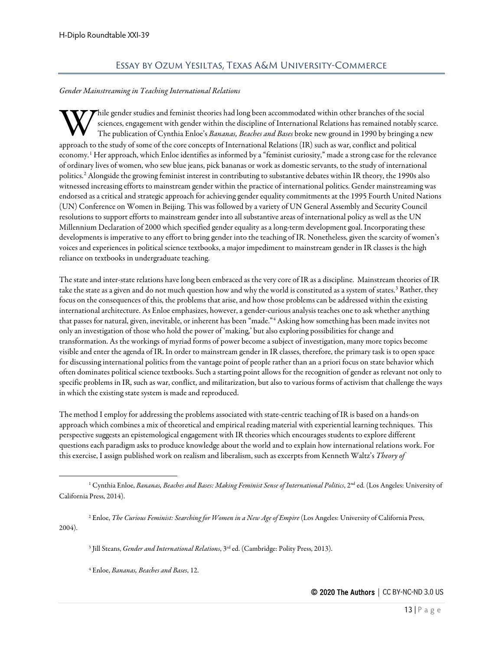## Essay by Ozum Yesiltas, Texas A&M University-Commerce

#### <span id="page-12-0"></span>*Gender Mainstreaming in Teaching International Relations*

hile gender studies and feminist theories had long been accommodated within other branches of the social sciences, engagement with gender within the discipline of International Relations has remained notably scarce. The publication of Cynthia Enloe's *Bananas, Beaches and Bases* broke new ground in 1990 by bringing a new W sciences, engagement with gender within the discipline of International Relations has remained notably<br>The publication of Cynthia Enloe's *Bananas, Beaches and Bases* broke new ground in 1990 by bringing a<br>approach to th economy.[1](#page-12-1) Her approach, which Enloe identifies as informed by a "feminist curiosity," made a strong case for the relevance of ordinary lives of women, who sew blue jeans, pick bananas or work as domestic servants, to the study of international politics.[2](#page-12-2) Alongside the growing feminist interest in contributing to substantive debates within IR theory, the 1990s also witnessed increasing efforts to mainstream gender within the practice of international politics. Gender mainstreaming was endorsed as a critical and strategic approach for achieving gender equality commitments at the 1995 Fourth United Nations (UN) Conference on Women in Beijing. This was followed by a variety of UN General Assembly and Security Council resolutions to support efforts to mainstream gender into all substantive areas of international policy as well as the UN Millennium Declaration of 2000 which specified gender equality as a long-term development goal. Incorporating these developments is imperative to any effort to bring gender into the teaching of IR. Nonetheless, given the scarcity of women's voices and experiences in political science textbooks, a major impediment to mainstream gender in IR classes is the high reliance on textbooks in undergraduate teaching.

The state and inter-state relations have long been embraced as the very core of IR as a discipline. Mainstream theories of IR take the state as a given and do not much question how and why the world is constituted as a system of states.<sup>[3](#page-12-3)</sup> Rather, they focus on the consequences of this, the problems that arise, and how those problems can be addressed within the existing international architecture. As Enloe emphasizes, however, a gender-curious analysis teaches one to ask whether anything that passes for natural, given, inevitable, or inherent has been "made."[4](#page-12-4) Asking how something has been made invites not only an investigation of those who hold the power of 'making,' but also exploring possibilities for change and transformation. As the workings of myriad forms of power become a subject of investigation, many more topics become visible and enter the agenda of IR. In order to mainstream gender in IR classes, therefore, the primary task is to open space for discussing international politics from the vantage point of people rather than an a priori focus on state behavior which often dominates political science textbooks. Such a starting point allows for the recognition of gender as relevant not only to specific problems in IR, such as war, conflict, and militarization, but also to various forms of activism that challenge the ways in which the existing state system is made and reproduced.

The method I employ for addressing the problems associated with state-centric teaching of IR is based on a hands-on approach which combines a mix of theoretical and empirical reading material with experiential learning techniques. This perspective suggests an epistemological engagement with IR theories which encourages students to explore different questions each paradigm asks to produce knowledge about the world and to explain how international relations work. For this exercise, I assign published work on realism and liberalism, such as excerpts from Kenneth Waltz's *Theory of* 

<span id="page-12-4"></span><span id="page-12-3"></span><span id="page-12-2"></span><sup>2</sup> Enloe, *The Curious Feminist: Searching for Women in a New Age of Empire* (Los Angeles: University of California Press, 2004).

<sup>3</sup> Jill Steans, *Gender and International Relations*, 3rd ed. (Cambridge: Polity Press, 2013).

<sup>4</sup> Enloe, *Bananas, Beaches and Bases*, 12.

<span id="page-12-1"></span><sup>&</sup>lt;sup>1</sup> Cynthia Enloe, *Bananas, Beaches and Bases: Making Feminist Sense of International Politics*, 2<sup>nd</sup> ed. (Los Angeles: University of California Press, 2014).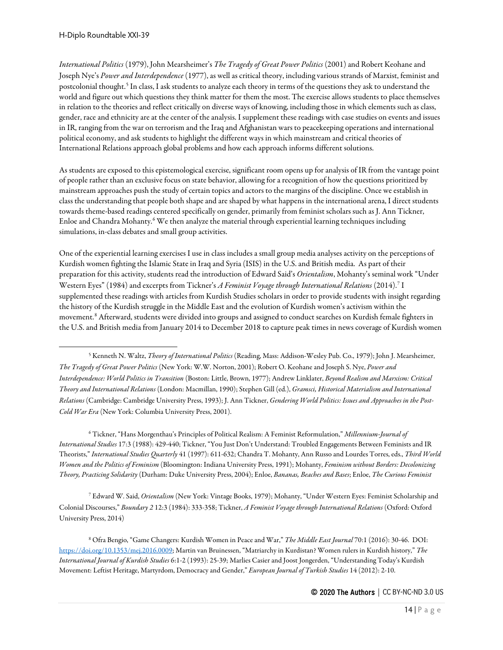*International Politics* (1979), John Mearsheimer's *The Tragedy of Great Power Politics* (2001) and Robert Keohane and Joseph Nye's *Power and Interdependence* (1977), as well as critical theory, including various strands of Marxist, feminist and postcolonial thought.[5](#page-13-0) In class, I ask students to analyze each theory in terms of the questions they ask to understand the world and figure out which questions they think matter for them the most. The exercise allows students to place themselves in relation to the theories and reflect critically on diverse ways of knowing, including those in which elements such as class, gender, race and ethnicity are at the center of the analysis. I supplement these readings with case studies on events and issues in IR, ranging from the war on terrorism and the Iraq and Afghanistan wars to peacekeeping operations and international political economy, and ask students to highlight the different ways in which mainstream and critical theories of International Relations approach global problems and how each approach informs different solutions.

As students are exposed to this epistemological exercise, significant room opens up for analysis of IR from the vantage point of people rather than an exclusive focus on state behavior, allowing for a recognition of how the questions prioritized by mainstream approaches push the study of certain topics and actors to the margins of the discipline. Once we establish in class the understanding that people both shape and are shaped by what happens in the international arena, I direct students towards theme-based readings centered specifically on gender, primarily from feminist scholars such as J. Ann Tickner, Enloe and Chandra Mohanty. [6](#page-13-1) We then analyze the material through experiential learning techniques including simulations, in-class debates and small group activities.

One of the experiential learning exercises I use in class includes a small group media analyses activity on the perceptions of Kurdish women fighting the Islamic State in Iraq and Syria (ISIS) in the U.S. and British media. As part of their preparation for this activity, students read the introduction of Edward Said's *Orientalism*, Mohanty's seminal work "Under Western Eyes" (1984) and excerpts from Tickner's *A Feminist Voyage through International Relations* (2014).[7](#page-13-2) I supplemented these readings with articles from Kurdish Studies scholars in order to provide students with insight regarding the history of the Kurdish struggle in the Middle East and the evolution of Kurdish women's activism within the movement.[8](#page-13-3) Afterward, students were divided into groups and assigned to conduct searches on Kurdish female fighters in the U.S. and British media from January 2014 to December 2018 to capture peak times in news coverage of Kurdish women

<span id="page-13-1"></span><sup>6</sup> Tickner, "Hans Morgenthau's Principles of Political Realism: A Feminist Reformulation," *Millennium-Journal of International Studies* 17:3 (1988): 429-440; Tickner, "You Just Don't Understand: Troubled Engagements Between Feminists and IR Theorists," *International Studies Quarterly* 41 (1997): 611-632; Chandra T. Mohanty, Ann Russo and Lourdes Torres, eds., *Third World Women and the Politics of Feminism* (Bloomington: Indiana University Press, 1991); Mohanty, *Feminism without Borders: Decolonizing Theory, Practicing Solidarity* (Durham: Duke University Press, 2004); Enloe, *Bananas, Beaches and Bases*; Enloe, *The Curious Feminist*

<span id="page-13-2"></span><sup>7</sup> Edward W. Said, *Orientalism* (New York: Vintage Books, 1979); Mohanty, "Under Western Eyes: Feminist Scholarship and Colonial Discourses," *Boundary 2* 12:3 (1984): 333-358; Tickner, *A Feminist Voyage through International Relations* (Oxford: Oxford University Press, 2014)

<span id="page-13-3"></span><sup>8</sup> Ofra Bengio, "Game Changers: Kurdish Women in Peace and War," *The Middle East Journal* 70:1 (2016): 30-46. DOI: [https://doi.org/10.1353/mej.2016.0009;](https://doi.org/10.1353/mej.2016.0009) Martin van Bruinessen, "Matriarchy in Kurdistan? Women rulers in Kurdish history," *The International Journal of Kurdish Studies* 6:1-2 (1993): 25-39; Marlies Casier and Joost Jongerden, "Understanding Today's Kurdish Movement: Leftist Heritage, Martyrdom, Democracy and Gender," *European Journal of Turkish Studies* 14 (2012): 2-10.

<span id="page-13-0"></span><sup>5</sup> Kenneth N. Waltz, *Theory of International Politics* (Reading, Mass: Addison-Wesley Pub. Co., 1979); John J. Mearsheimer, *The Tragedy of Great Power Politics* (New York: W.W. Norton, 2001); Robert O. Keohane and Joseph S. Nye, *Power and Interdependence: World Politics in Transition* (Boston: Little, Brown, 1977); Andrew Linklater, *Beyond Realism and Marxism: Critical Theory and International Relations* (London: Macmillan, 1990); Stephen Gill (ed.), *Gramsci, Historical Materialism and International Relations* (Cambridge: Cambridge University Press, 1993); J. Ann Tickner, *Gendering World Politics: Issues and Approaches in the Post-Cold War Era* (New York: Columbia University Press, 2001).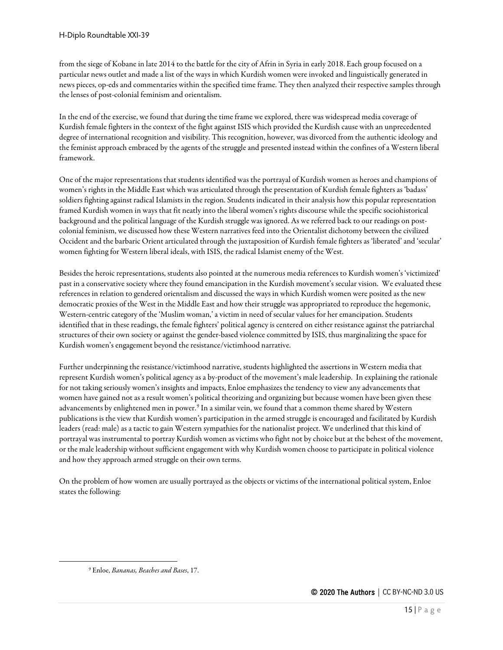from the siege of Kobane in late 2014 to the battle for the city of Afrin in Syria in early 2018. Each group focused on a particular news outlet and made a list of the ways in which Kurdish women were invoked and linguistically generated in news pieces, op-eds and commentaries within the specified time frame. They then analyzed their respective samples through the lenses of post-colonial feminism and orientalism.

In the end of the exercise, we found that during the time frame we explored, there was widespread media coverage of Kurdish female fighters in the context of the fight against ISIS which provided the Kurdish cause with an unprecedented degree of international recognition and visibility. This recognition, however, was divorced from the authentic ideology and the feminist approach embraced by the agents of the struggle and presented instead within the confines of a Western liberal framework.

One of the major representations that students identified was the portrayal of Kurdish women as heroes and champions of women's rights in the Middle East which was articulated through the presentation of Kurdish female fighters as 'badass' soldiers fighting against radical Islamists in the region. Students indicated in their analysis how this popular representation framed Kurdish women in ways that fit neatly into the liberal women's rights discourse while the specific sociohistorical background and the political language of the Kurdish struggle was ignored. As we referred back to our readings on postcolonial feminism, we discussed how these Western narratives feed into the Orientalist dichotomy between the civilized Occident and the barbaric Orient articulated through the juxtaposition of Kurdish female fighters as 'liberated' and 'secular' women fighting for Western liberal ideals, with ISIS, the radical Islamist enemy of the West.

Besides the heroic representations, students also pointed at the numerous media references to Kurdish women's 'victimized' past in a conservative society where they found emancipation in the Kurdish movement's secular vision. We evaluated these references in relation to gendered orientalism and discussed the ways in which Kurdish women were posited as the new democratic proxies of the West in the Middle East and how their struggle was appropriated to reproduce the hegemonic, Western-centric category of the 'Muslim woman,' a victim in need of secular values for her emancipation. Students identified that in these readings, the female fighters' political agency is centered on either resistance against the patriarchal structures of their own society or against the gender-based violence committed by ISIS, thus marginalizing the space for Kurdish women's engagement beyond the resistance/victimhood narrative.

Further underpinning the resistance/victimhood narrative, students highlighted the assertions in Western media that represent Kurdish women's political agency as a by-product of the movement's male leadership. In explaining the rationale for not taking seriously women's insights and impacts, Enloe emphasizes the tendency to view any advancements that women have gained not as a result women's political theorizing and organizing but because women have been given these advancements by enlightened men in power.<sup>[9](#page-14-0)</sup> In a similar vein, we found that a common theme shared by Western publications is the view that Kurdish women's participation in the armed struggle is encouraged and facilitated by Kurdish leaders (read: male) as a tactic to gain Western sympathies for the nationalist project. We underlined that this kind of portrayal was instrumental to portray Kurdish women as victims who fight not by choice but at the behest of the movement, or the male leadership without sufficient engagement with why Kurdish women choose to participate in political violence and how they approach armed struggle on their own terms.

On the problem of how women are usually portrayed as the objects or victims of the international political system, Enloe states the following:

<span id="page-14-0"></span><sup>9</sup> Enloe, *Bananas, Beaches and Bases*, 17.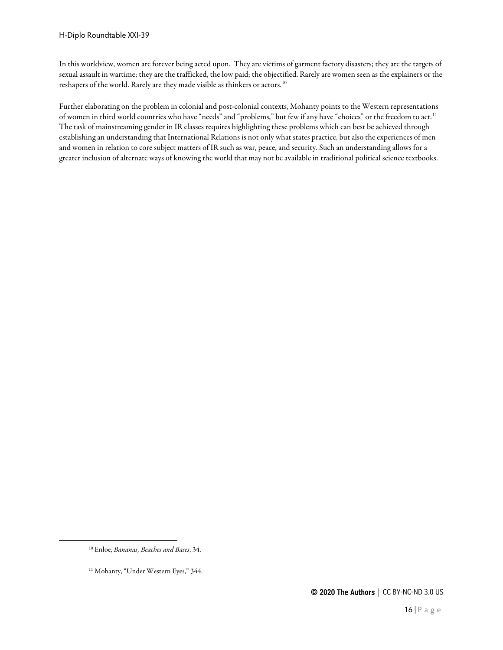In this worldview, women are forever being acted upon. They are victims of garment factory disasters; they are the targets of sexual assault in wartime; they are the trafficked, the low paid; the objectified. Rarely are women seen as the explainers or the reshapers of the world. Rarely are they made visible as thinkers or actors.<sup>[10](#page-15-0)</sup>

Further elaborating on the problem in colonial and post-colonial contexts, Mohanty points to the Western representations of women in third world countries who have "needs" and "problems," but few if any have "choices" or the freedom to act.<sup>[11](#page-15-1)</sup> The task of mainstreaming gender in IR classes requires highlighting these problems which can best be achieved through establishing an understanding that International Relations is not only what states practice, but also the experiences of men and women in relation to core subject matters of IR such as war, peace, and security. Such an understanding allows for a greater inclusion of alternate ways of knowing the world that may not be available in traditional political science textbooks.

<span id="page-15-0"></span><sup>10</sup> Enloe, *Bananas, Beaches and Bases*, 34.

<span id="page-15-1"></span><sup>&</sup>lt;sup>11</sup> Mohanty, "Under Western Eyes," 344.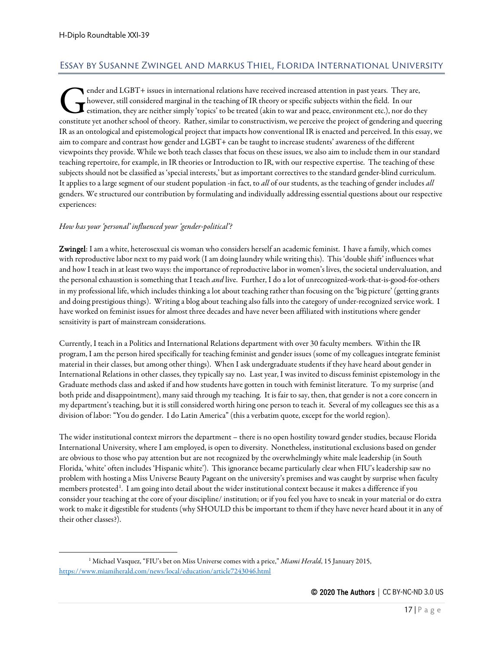# <span id="page-16-0"></span>Essay by Susanne Zwingel and Markus Thiel, Florida International University

ender and LGBT+ issues in international relations have received increased attention in past years. They are, however, still considered marginal in the teaching of IR theory or specific subjects within the field. In our estimation, they are neither simply 'topics' to be treated (akin to war and peace, environment etc.), nor do they constitute yet another school of theory. Rather, similar to constructivism, we perceive the project of gendering and queering of theory. Rather, similar to constructivism, we perceive the project of gendering and queering IR as an ontological and epistemological project that impacts how conventional IR is enacted and perceived. In this essay, we aim to compare and contrast how gender and LGBT+ can be taught to increase students' awareness of the different viewpoints they provide. While we both teach classes that focus on these issues, we also aim to include them in our standard teaching repertoire, for example, in IR theories or Introduction to IR, with our respective expertise. The teaching of these subjects should not be classified as 'special interests,' but as important correctives to the standard gender-blind curriculum. It applies to a large segment of our student population -in fact, to *all* of our students, as the teaching of gender includes *all*  genders. We structured our contribution by formulating and individually addressing essential questions about our respective experiences:

#### *How has your 'personal' influenced your 'gender-political'?*

Zwingel: I am a white, heterosexual cis woman who considers herself an academic feminist. I have a family, which comes with reproductive labor next to my paid work (I am doing laundry while writing this). This 'double shift' influences what and how I teach in at least two ways: the importance of reproductive labor in women's lives, the societal undervaluation, and the personal exhaustion is something that I teach *and* live. Further, I do a lot of unrecognized-work-that-is-good-for-others in my professional life, which includes thinking a lot about teaching rather than focusing on the 'big picture' (getting grants and doing prestigious things). Writing a blog about teaching also falls into the category of under-recognized service work. I have worked on feminist issues for almost three decades and have never been affiliated with institutions where gender sensitivity is part of mainstream considerations.

Currently, I teach in a Politics and International Relations department with over 30 faculty members. Within the IR program, I am the person hired specifically for teaching feminist and gender issues (some of my colleagues integrate feminist material in their classes, but among other things). When I ask undergraduate students if they have heard about gender in International Relations in other classes, they typically say no. Last year, I was invited to discuss feminist epistemology in the Graduate methods class and asked if and how students have gotten in touch with feminist literature. To my surprise (and both pride and disappointment), many said through my teaching. It is fair to say, then, that gender is not a core concern in my department's teaching, but it is still considered worth hiring one person to teach it. Several of my colleagues see this as a division of labor: "You do gender. I do Latin America" (this a verbatim quote, except for the world region).

The wider institutional context mirrors the department – there is no open hostility toward gender studies, because Florida International University, where I am employed, is open to diversity. Nonetheless, institutional exclusions based on gender are obvious to those who pay attention but are not recognized by the overwhelmingly white male leadership (in South Florida, 'white' often includes 'Hispanic white'). This ignorance became particularly clear when FIU's leadership saw no problem with hosting a Miss Universe Beauty Pageant on the university's premises and was caught by surprise when faculty members protested<sup>[1](#page-16-1)</sup>. I am going into detail about the wider institutional context because it makes a difference if you consider your teaching at the core of your discipline/ institution; or if you feel you have to sneak in your material or do extra work to make it digestible for students (why SHOULD this be important to them if they have never heard about it in any of their other classes?).

<span id="page-16-1"></span><sup>1</sup> Michael Vasquez, "FIU's bet on Miss Universe comes with a price," *Miami Herald*, 15 January 2015, <https://www.miamiherald.com/news/local/education/article7243046.html>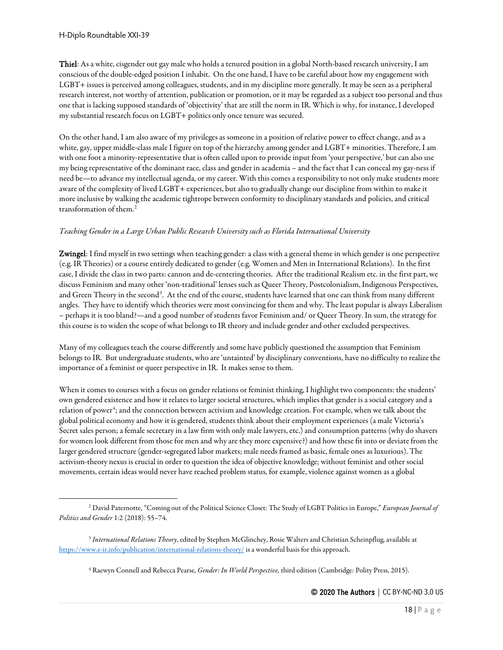Thiel: As a white, cisgender out gay male who holds a tenured position in a global North-based research university, I am conscious of the double-edged position I inhabit. On the one hand, I have to be careful about how my engagement with LGBT+ issues is perceived among colleagues, students, and in my discipline more generally. It may be seen as a peripheral research interest, not worthy of attention, publication or promotion, or it may be regarded as a subject too personal and thus one that is lacking supposed standards of 'objectivity' that are still the norm in IR. Which is why, for instance, I developed my substantial research focus on LGBT+ politics only once tenure was secured.

On the other hand, I am also aware of my privileges as someone in a position of relative power to effect change, and as a white, gay, upper middle-class male I figure on top of the hierarchy among gender and LGBT+ minorities. Therefore, I am with one foot a minority-representative that is often called upon to provide input from 'your perspective,' but can also use my being representative of the dominant race, class and gender in academia – and the fact that I can conceal my gay-ness if need be—to advance my intellectual agenda, or my career. With this comes a responsibility to not only make students more aware of the complexity of lived LGBT+ experiences, but also to gradually change our discipline from within to make it more inclusive by walking the academic tightrope between conformity to disciplinary standards and policies, and critical transformation of them.[2](#page-17-0)

#### *Teaching Gender in a Large Urban Public Research University such as Florida International University*

Zwingel: I find myself in two settings when teaching gender: a class with a general theme in which gender is one perspective (e.g. IR Theories) or a course entirely dedicated to gender (e.g. Women and Men in International Relations). In the first case, I divide the class in two parts: cannon and de-centering theories. After the traditional Realism etc. in the first part, we discuss Feminism and many other 'non-traditional' lenses such as Queer Theory, Postcolonialism, Indigenous Perspectives, and Green Theory in the second<sup>[3](#page-17-1)</sup>. At the end of the course, students have learned that one can think from many different angles. They have to identify which theories were most convincing for them and why. The least popular is always Liberalism – perhaps it is too bland?—and a good number of students favor Feminism and/ or Queer Theory. In sum, the strategy for this course is to widen the scope of what belongs to IR theory and include gender and other excluded perspectives.

Many of my colleagues teach the course differently and some have publicly questioned the assumption that Feminism belongs to IR. But undergraduate students, who are 'untainted' by disciplinary conventions, have no difficulty to realize the importance of a feminist or queer perspective in IR. It makes sense to them.

When it comes to courses with a focus on gender relations or feminist thinking, I highlight two components: the students' own gendered existence and how it relates to larger societal structures, which implies that gender is a social category and a relation of power<sup>[4](#page-17-2)</sup>; and the connection between activism and knowledge creation. For example, when we talk about the global political economy and how it is gendered, students think about their employment experiences (a male Victoria's Secret sales person; a female secretary in a law firm with only male lawyers, etc.) and consumption patterns (why do shavers for women look different from those for men and why are they more expensive?) and how these fit into or deviate from the larger gendered structure (gender-segregated labor markets; male needs framed as basic, female ones as luxurious). The activism-theory nexus is crucial in order to question the idea of objective knowledge; without feminist and other social movements, certain ideas would never have reached problem status, for example, violence against women as a global

<span id="page-17-0"></span><sup>2</sup> David Paternotte, "Coming out of the Political Science Closet: The Study of LGBT Politics in Europe," *European Journal of Politics and Gender* 1:2 (2018): 55–74.

<span id="page-17-2"></span><span id="page-17-1"></span><sup>3</sup> *International Relations Theory*, edited by Stephen McGlinchey, Rosie Walters and Christian Scheinpflug, available at <https://www.e-ir.info/publication/international-relations-theory/> is a wonderful basis for this approach.

<sup>4</sup> Raewyn Connell and Rebecca Pearse, *Gender: In World Perspective,* third edition (Cambridge: Polity Press, 2015).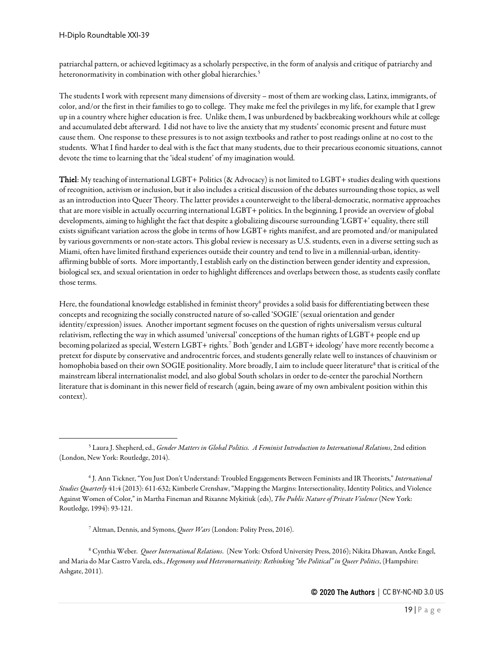patriarchal pattern, or achieved legitimacy as a scholarly perspective, in the form of analysis and critique of patriarchy and heteronormativity in combination with other global hierarchies.<sup>[5](#page-18-0)</sup>

The students I work with represent many dimensions of diversity – most of them are working class, Latinx, immigrants, of color, and/or the first in their families to go to college. They make me feel the privileges in my life, for example that I grew up in a country where higher education is free. Unlike them, I was unburdened by backbreaking workhours while at college and accumulated debt afterward. I did not have to live the anxiety that my students' economic present and future must cause them. One response to these pressures is to not assign textbooks and rather to post readings online at no cost to the students. What I find harder to deal with is the fact that many students, due to their precarious economic situations, cannot devote the time to learning that the 'ideal student' of my imagination would.

Thiel: My teaching of international LGBT+ Politics (& Advocacy) is not limited to LGBT+ studies dealing with questions of recognition, activism or inclusion, but it also includes a critical discussion of the debates surrounding those topics, as well as an introduction into Queer Theory. The latter provides a counterweight to the liberal-democratic, normative approaches that are more visible in actually occurring international LGBT+ politics. In the beginning, I provide an overview of global developments, aiming to highlight the fact that despite a globalizing discourse surrounding 'LGBT+' equality, there still exists significant variation across the globe in terms of how LGBT+ rights manifest, and are promoted and/or manipulated by various governments or non-state actors. This global review is necessary as U.S. students, even in a diverse setting such as Miami, often have limited firsthand experiences outside their country and tend to live in a millennial-urban, identityaffirming bubble of sorts. More importantly, I establish early on the distinction between gender identity and expression, biological sex, and sexual orientation in order to highlight differences and overlaps between those, as students easily conflate those terms.

Here, the foundational knowledge established in feminist theory<sup>[6](#page-18-1)</sup> provides a solid basis for differentiating between these concepts and recognizing the socially constructed nature of so-called 'SOGIE' (sexual orientation and gender identity/expression) issues. Another important segment focuses on the question of rights universalism versus cultural relativism, reflecting the way in which assumed 'universal' conceptions of the human rights of LGBT+ people end up becoming polarized as special, Western LGBT+ rights.[7](#page-18-2) Both 'gender and LGBT+ ideology' have more recently become a pretext for dispute by conservative and androcentric forces, and students generally relate well to instances of chauvinism or homophobia based on their own SOGIE positionality. More broadly, I aim to include queer literature<sup>[8](#page-18-3)</sup> that is critical of the mainstream liberal internationalist model, and also global South scholars in order to de-center the parochial Northern literature that is dominant in this newer field of research (again, being aware of my own ambivalent position within this context).

<span id="page-18-0"></span><sup>5</sup> Laura J. Shepherd, ed., *Gender Matters in Global Politics. A Feminist Introduction to International Relations*, 2nd edition (London, New York: Routledge, 2014).

<span id="page-18-1"></span><sup>6</sup> J. Ann Tickner, "You Just Don't Understand: Troubled Engagements Between Feminists and IR Theorists," *International Studies Quarterly* 41:4 (2013): 611-632; Kimberle Crenshaw, "Mapping the Margins: Intersectionality, Identity Politics, and Violence Against Women of Color," in Martha Fineman and Rixanne Mykitiuk (eds), *The Public Nature of Private Violence* (New York: Routledge, 1994): 93-121.

<sup>7</sup> Altman, Dennis, and Symons, *Queer Wars* (London: Polity Press, 2016).

<span id="page-18-3"></span><span id="page-18-2"></span><sup>8</sup> Cynthia Weber. *Queer International Relations*. (New York: Oxford University Press, 2016); Nikita Dhawan, Antke Engel, and Maria do Mar Castro Varela, eds., *Hegemony und Heteronormativity: Rethinking "the Political" in Queer Politics*, (Hampshire: Ashgate, 2011).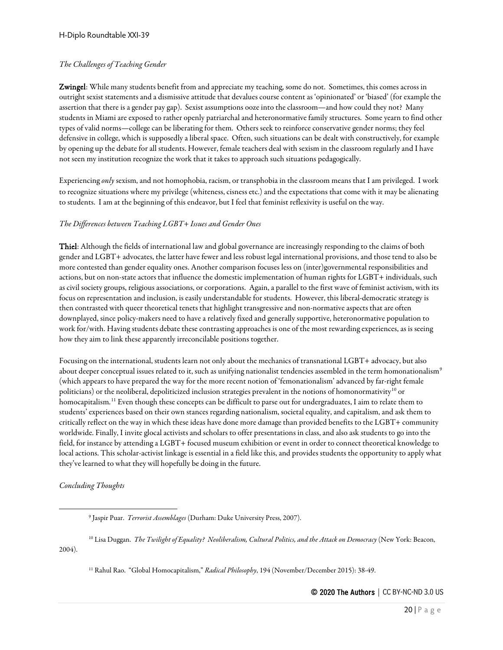#### *The Challenges of Teaching Gender*

Zwingel: While many students benefit from and appreciate my teaching, some do not. Sometimes, this comes across in outright sexist statements and a dismissive attitude that devalues course content as 'opinionated' or 'biased' (for example the assertion that there is a gender pay gap). Sexist assumptions ooze into the classroom—and how could they not? Many students in Miami are exposed to rather openly patriarchal and heteronormative family structures. Some yearn to find other types of valid norms—college can be liberating for them. Others seek to reinforce conservative gender norms; they feel defensive in college, which is supposedly a liberal space. Often, such situations can be dealt with constructively, for example by opening up the debate for all students. However, female teachers deal with sexism in the classroom regularly and I have not seen my institution recognize the work that it takes to approach such situations pedagogically.

Experiencing *only* sexism, and not homophobia, racism, or transphobia in the classroom means that I am privileged. I work to recognize situations where my privilege (whiteness, cisness etc.) and the expectations that come with it may be alienating to students. I am at the beginning of this endeavor, but I feel that feminist reflexivity is useful on the way.

#### *The Differences between Teaching LGBT+ Issues and Gender Ones*

Thiel: Although the fields of international law and global governance are increasingly responding to the claims of both gender and LGBT+ advocates, the latter have fewer and less robust legal international provisions, and those tend to also be more contested than gender equality ones. Another comparison focuses less on (inter)governmental responsibilities and actions, but on non-state actors that influence the domestic implementation of human rights for LGBT+ individuals, such as civil society groups, religious associations, or corporations. Again, a parallel to the first wave of feminist activism, with its focus on representation and inclusion, is easily understandable for students. However, this liberal-democratic strategy is then contrasted with queer theoretical tenets that highlight transgressive and non-normative aspects that are often downplayed, since policy-makers need to have a relatively fixed and generally supportive, heteronormative population to work for/with. Having students debate these contrasting approaches is one of the most rewarding experiences, as is seeing how they aim to link these apparently irreconcilable positions together.

Focusing on the international, students learn not only about the mechanics of transnational LGBT+ advocacy, but also about deeper conceptual issues related to it, such as unifying nationalist tendencies assembled in the term homonationalism<sup>[9](#page-19-0)</sup> (which appears to have prepared the way for the more recent notion of 'femonationalism' advanced by far-right female politicians) or the neoliberal, depoliticized inclusion strategies prevalent in the notions of homonormativity<sup>[10](#page-19-1)</sup> or homocapitalism.<sup>[11](#page-19-2)</sup> Even though these concepts can be difficult to parse out for undergraduates, I aim to relate them to students' experiences based on their own stances regarding nationalism, societal equality, and capitalism, and ask them to critically reflect on the way in which these ideas have done more damage than provided benefits to the LGBT+ community worldwide. Finally, I invite glocal activists and scholars to offer presentations in class, and also ask students to go into the field, for instance by attending a LGBT+ focused museum exhibition or event in order to connect theoretical knowledge to local actions. This scholar-activist linkage is essential in a field like this, and provides students the opportunity to apply what they've learned to what they will hopefully be doing in the future.

*Concluding Thoughts*

<sup>11</sup> Rahul Rao. "Global Homocapitalism," *Radical Philosophy*, 194 (November/December 2015): 38-49.

<sup>9</sup> Jaspir Puar. *Terrorist Assemblages* (Durham: Duke University Press, 2007).

<span id="page-19-2"></span><span id="page-19-1"></span><span id="page-19-0"></span><sup>10</sup> Lisa Duggan. *The Twilight of Equality? Neoliberalism, Cultural Politics, and the Attack on Democracy* (New York: Beacon, 2004).